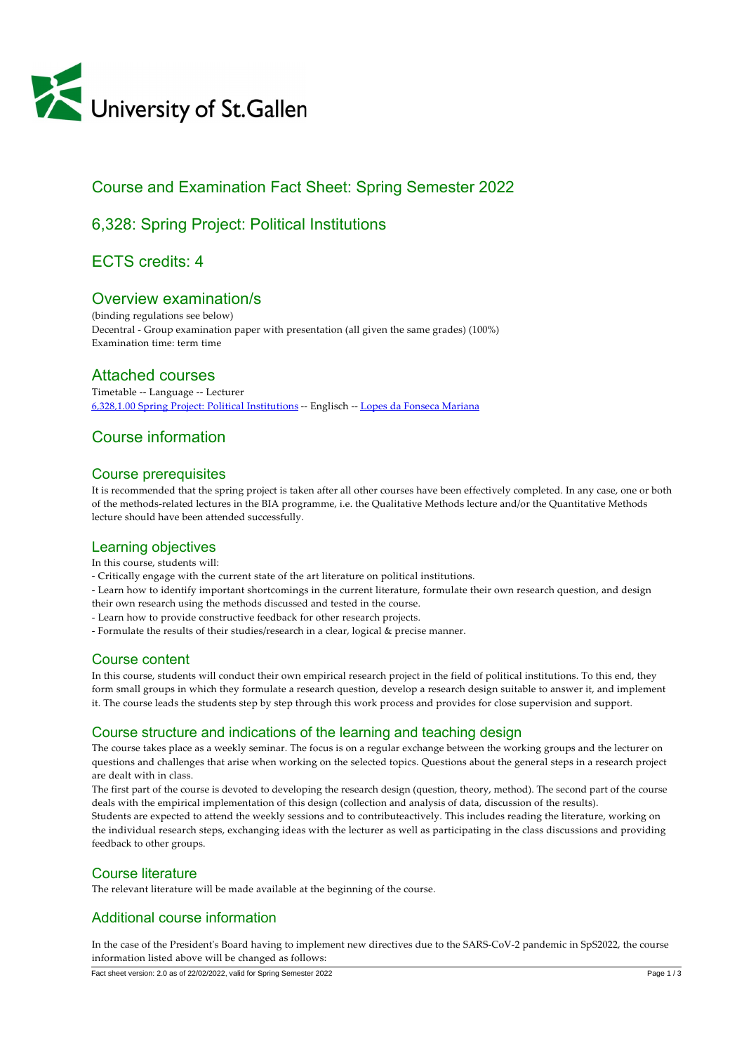

# Course and Examination Fact Sheet: Spring Semester 2022

# 6,328: Spring Project: Political Institutions

# ECTS credits: 4

## Overview examination/s

(binding regulations see below) Decentral ‑ Group examination paper with presentation (all given the same grades) (100%) Examination time: term time

### Attached courses

Timetable ‑‑ Language ‑‑ Lecturer [6,328,1.00 Spring Project: Political Institutions](https://tools.unisg.ch/Url/CSWENH) ‑‑ Englisch ‑‑ [Lopes da Fonseca Mariana](https://www.unisg.ch/Personenverzeichnis/24118b9b-5ecb-49b8-b746-61b96352c9b8)

## Course information

### Course prerequisites

It is recommended that the spring project is taken after all other courses have been effectively completed. In any case, one or both of the methods‑related lectures in the BIA programme, i.e. the Qualitative Methods lecture and/or the Quantitative Methods lecture should have been attended successfully.

### Learning objectives

In this course, students will:

‑ Critically engage with the current state of the art literature on political institutions.

‑ Learn how to identify important shortcomings in the current literature, formulate their own research question, and design their own research using the methods discussed and tested in the course.

- ‑ Learn how to provide constructive feedback for other research projects.
- ‑ Formulate the results of their studies/research in a clear, logical & precise manner.

### Course content

In this course, students will conduct their own empirical research project in the field of political institutions. To this end, they form small groups in which they formulate a research question, develop a research design suitable to answer it, and implement it. The course leads the students step by step through this work process and provides for close supervision and support.

### Course structure and indications of the learning and teaching design

The course takes place as a weekly seminar. The focus is on a regular exchange between the working groups and the lecturer on questions and challenges that arise when working on the selected topics. Questions about the general steps in a research project are dealt with in class.

The first part of the course is devoted to developing the research design (question, theory, method). The second part of the course deals with the empirical implementation of this design (collection and analysis of data, discussion of the results).

Students are expected to attend the weekly sessions and to contributeactively. This includes reading the literature, working on the individual research steps, exchanging ideas with the lecturer as well as participating in the class discussions and providing feedback to other groups.

### Course literature

The relevant literature will be made available at the beginning of the course.

### Additional course information

In the case of the President's Board having to implement new directives due to the SARS-CoV-2 pandemic in SpS2022, the course information listed above will be changed as follows:

Fact sheet version: 2.0 as of 22/02/2022, valid for Spring Semester 2022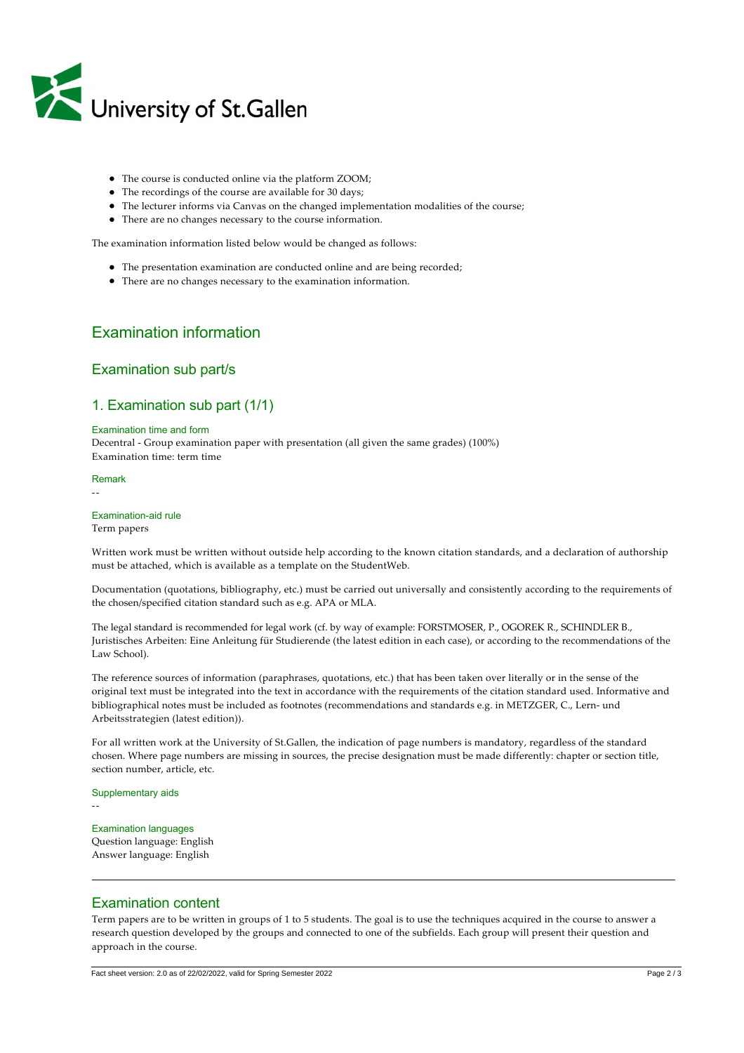

- The course is conducted online via the platform ZOOM;
- The recordings of the course are available for 30 days;
- The lecturer informs via Canvas on the changed implementation modalities of the course;
- There are no changes necessary to the course information.

The examination information listed below would be changed as follows:

- The presentation examination are conducted online and are being recorded;
- There are no changes necessary to the examination information.

## Examination information

#### Examination sub part/s

### 1. Examination sub part (1/1)

#### Examination time and form

Decentral ‑ Group examination paper with presentation (all given the same grades) (100%) Examination time: term time

#### Remark

‑‑

#### Examination-aid rule

Term papers

Written work must be written without outside help according to the known citation standards, and a declaration of authorship must be attached, which is available as a template on the StudentWeb.

Documentation (quotations, bibliography, etc.) must be carried out universally and consistently according to the requirements of the chosen/specified citation standard such as e.g. APA or MLA.

The legal standard is recommended for legal work (cf. by way of example: FORSTMOSER, P., OGOREK R., SCHINDLER B., Juristisches Arbeiten: Eine Anleitung für Studierende (the latest edition in each case), or according to the recommendations of the Law School).

The reference sources of information (paraphrases, quotations, etc.) that has been taken over literally or in the sense of the original text must be integrated into the text in accordance with the requirements of the citation standard used. Informative and bibliographical notes must be included as footnotes (recommendations and standards e.g. in METZGER, C., Lern- und Arbeitsstrategien (latest edition)).

For all written work at the University of St.Gallen, the indication of page numbers is mandatory, regardless of the standard chosen. Where page numbers are missing in sources, the precise designation must be made differently: chapter or section title, section number, article, etc.

#### Supplementary aids

‑‑

Examination languages Question language: English Answer language: English

#### Examination content

Term papers are to be written in groups of 1 to 5 students. The goal is to use the techniques acquired in the course to answer a research question developed by the groups and connected to one of the subfields. Each group will present their question and approach in the course.